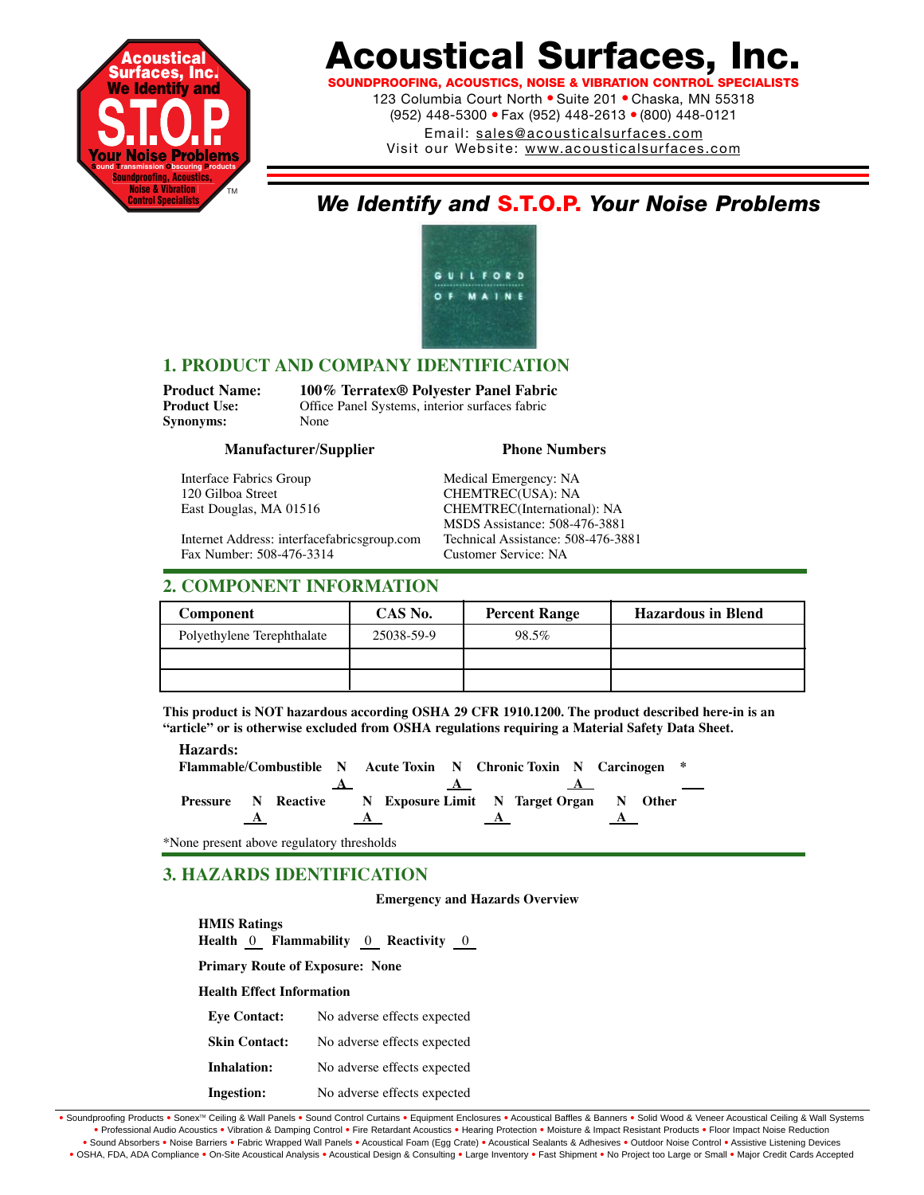

SOUNDPROOFING, ACOUSTICS, NOISE & VIBRATION CONTROL SPEC

123 Columbia Court North · Suite 201 · Chaska, MN 55318 (952) 448-5300 ● Fax (952) 448-2613 ● (800) 448-0121 Email: sales@acousticalsurfaces.com

Visit our Website: www.acousticalsurfaces.com

# *We Identify and* **S.T.O.P.** *Your Noise Problems*



# **1. PRODUCT AND COMPANY IDENTIFICATION**

**Synonyms:** 

**Product Name: 100% Terratex® Polyester Panel Fabric** Office Panel Systems, interior surfaces fabric<br>None

### **Manufacturer/Supplier Phone Numbers**

Interface Fabrics Group Medical Emergency: NA 120 Gilboa Street CHEMTREC(USA): NA

East Douglas, MA 01516 CHEMTREC(International): NA

Internet Address: interfacefabricsgroup.com Technical Assistance: 508-476-3881 Fax Number: 508-476-3314

# **2. COMPONENT INFORMATION**

| Component                  | CAS No.    | <b>Percent Range</b> | <b>Hazardous in Blend</b> |
|----------------------------|------------|----------------------|---------------------------|
| Polyethylene Terephthalate | 25038-59-9 | 98.5%                |                           |
|                            |            |                      |                           |
|                            |            |                      |                           |

MSDS Assistance: 508-476-3881

**This product is NOT hazardous according OSHA 29 CFR 1910.1200. The product described here-in is an "article" or is otherwise excluded from OSHA regulations requiring a Material Safety Data Sheet.**

**Hazards:**

**Flammable/Combustible N Acute Toxin N Chronic Toxin N Carcinogen \***  $\mathbf{A}$   $\mathbf{A}$   $\mathbf{A}$ **Pressure N Reactive N Exposure Limit N Target Organ N Other**  $\overline{A}$   $\overline{A}$   $\overline{A}$   $\overline{A}$ 

\*None present above regulatory thresholds

# **3. HAZARDS IDENTIFICATION**

### **Emergency and Hazards Overview**

**HMIS Ratings Health** 0 **Flammability** 0 **Reactivity** 0

**Primary Route of Exposure: None**

**Health Effect Information**

| <b>Eve Contact:</b>  | No adverse effects expected |
|----------------------|-----------------------------|
| <b>Skin Contact:</b> | No adverse effects expected |
| Inhalation:          | No adverse effects expected |
| Ingestion:           | No adverse effects expected |

· Soundproofing Products · Sonex™ Ceiling & Wall Panels · Sound Control Curtains · Equipment Enclosures · Acoustical Baffles & Banners · Solid Wood & Veneer Acoustical Ceiling & Wall Systems **•** Professional Audio Acoustics **•** Vibration & Damping Control **•** Fire Retardant Acoustics **•** Hearing Protection **•** Moisture & Impact Resistant Products **•** Floor Impact Noise Reduction . Sound Absorbers . Noise Barriers . Fabric Wrapped Wall Panels . Acoustical Foam (Egg Crate) . Acoustical Sealants & Adhesives . Outdoor Noise Control . Assistive Listening Devices . OSHA, FDA, ADA Compliance . On-Site Acoustical Analysis . Acoustical Design & Consulting . Large Inventory . Fast Shipment . No Project too Large or Small . Major Credit Cards Accepted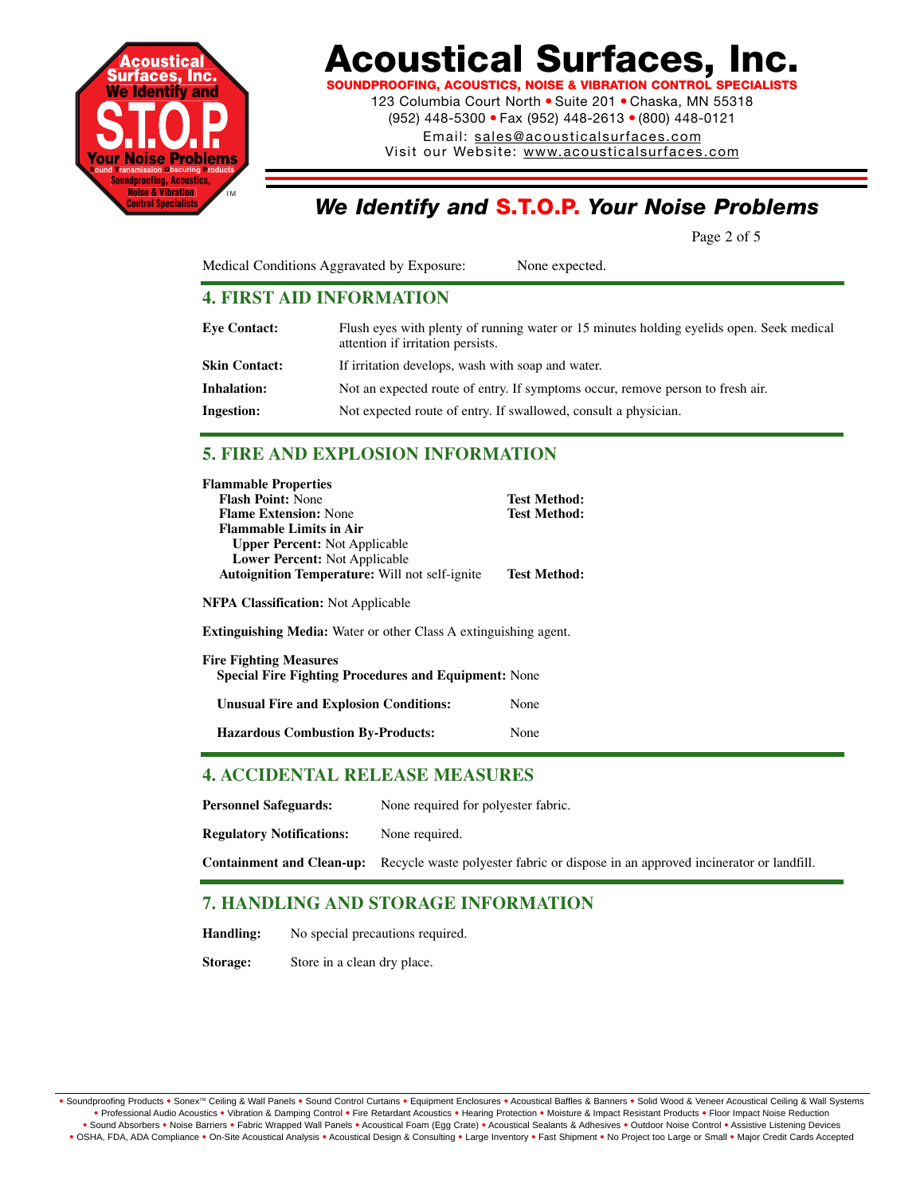

**SOUNDPROOFING, ACOUSTICS, NOISE & VIBRATION CONTROL SPECIALISTS**

123 Columbia Court North · Suite 201 · Chaska, MN 55318 (952) 448-5300 ● Fax (952) 448-2613 ● (800) 448-0121

Email: sales@acousticalsurfaces.com

Visit our Website: www.acousticalsurfaces.com

# *We Identify and* **S.T.O.P.** *Your Noise Problems*

Page 2 of 5

Medical Conditions Aggravated by Exposure: None expected.

# **4. FIRST AID INFORMATION**

| <b>Eve Contact:</b> | Flush eyes with plenty of running water or 15 minutes holding eyelids open. Seek medical<br>attention if irritation persists. |
|---------------------|-------------------------------------------------------------------------------------------------------------------------------|
| Skin Contact:       | If irritation develops, wash with soap and water.                                                                             |
| <b>Inhalation:</b>  | Not an expected route of entry. If symptoms occur, remove person to fresh air.                                                |
| <b>Ingestion:</b>   | Not expected route of entry. If swallowed, consult a physician.                                                               |

# **5. FIRE AND EXPLOSION INFORMATION**

| <b>Test Method:</b>                                                     |
|-------------------------------------------------------------------------|
| <b>Test Method:</b>                                                     |
|                                                                         |
|                                                                         |
|                                                                         |
| <b>Test Method:</b>                                                     |
|                                                                         |
| <b>Extinguishing Media:</b> Water or other Class A extinguishing agent. |
| <b>Special Fire Fighting Procedures and Equipment: None</b>             |
| None                                                                    |
| None                                                                    |
|                                                                         |

# **4. ACCIDENTAL RELEASE MEASURES**

Personnel Safeguards: None required for polyester fabric.

**Regulatory Notifications:** None required.

**Containment and Clean-up:** Recycle waste polyester fabric or dispose in an approved incinerator or landfill.

# **7. HANDLING AND STORAGE INFORMATION**

**Handling:** No special precautions required.

**Storage:** Store in a clean dry place.

. Soundproofing Products . Sonex™ Ceiling & Wall Panels . Sound Control Curtains . Equipment Enclosures . Acoustical Baffles & Banners . Solid Wood & Veneer Acoustical Ceiling & Wall Systems **•** Professional Audio Acoustics **•** Vibration & Damping Control **•** Fire Retardant Acoustics **•** Hearing Protection **•** Moisture & Impact Resistant Products **•** Floor Impact Noise Reduction . Sound Absorbers . Noise Barriers . Fabric Wrapped Wall Panels . Acoustical Foam (Egg Crate) . Acoustical Sealants & Adhesives . Outdoor Noise Control . Assistive Listening Devices . OSHA, FDA, ADA Compliance . On-Site Acoustical Analysis . Acoustical Design & Consulting . Large Inventory . Fast Shipment . No Project too Large or Small . Major Credit Cards Accepted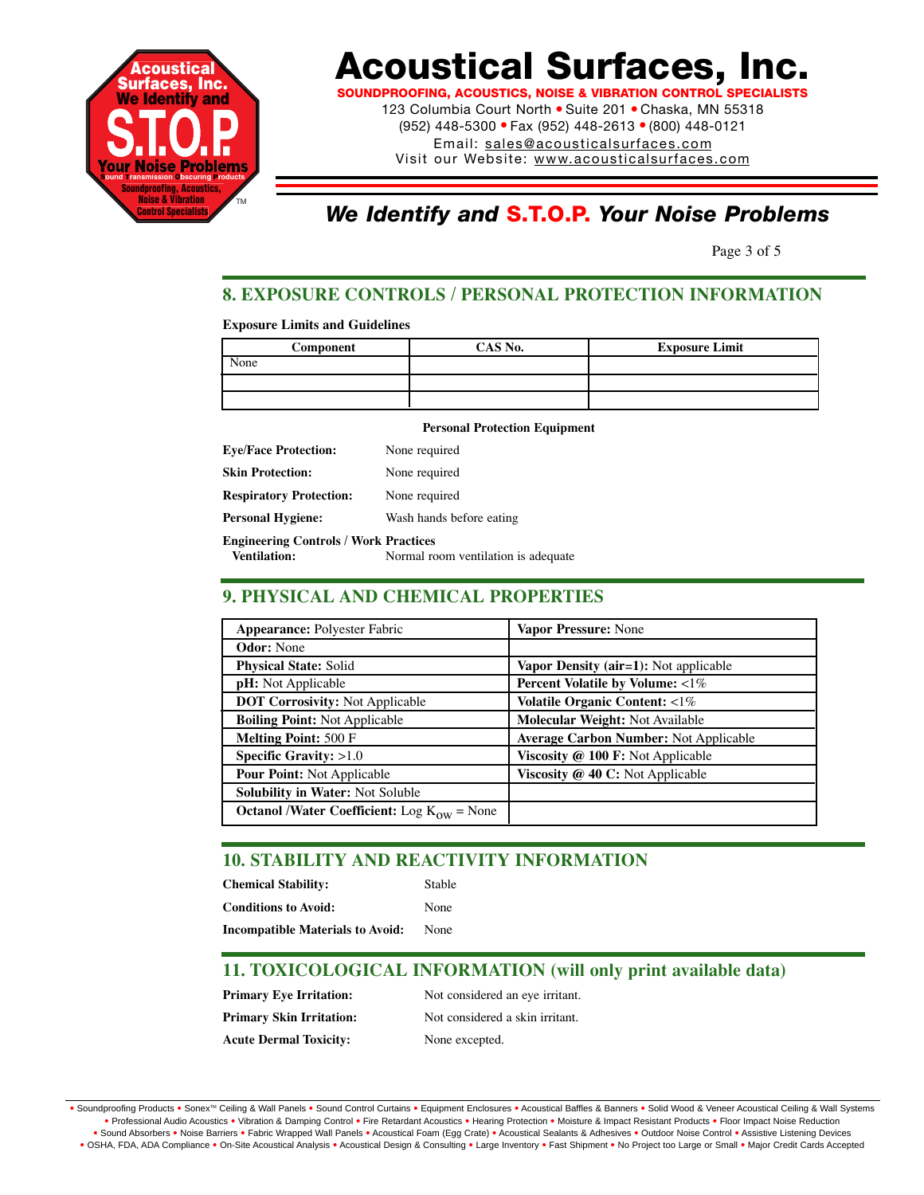

**SOUNDPROOFING, ACOUSTICS, NOISE & VIBRATION CONTROL SPECIALISTS** 123 Columbia Court North · Suite 201 · Chaska, MN 55318 (952) 448-5300 ● Fax (952) 448-2613 ● (800) 448-0121

Email: sales@acousticalsurfaces.com

Visit our Website: www.acousticalsurfaces.com

# *We Identify and* **S.T.O.P.** *Your Noise Problems*

Page 3 of 5

# **8. EXPOSURE CONTROLS / PERSONAL PROTECTION INFORMATION**

### **Exposure Limits and Guidelines**

| Component | CAS No. | <b>Exposure Limit</b> |
|-----------|---------|-----------------------|
| None      |         |                       |
|           |         |                       |
|           |         |                       |

### **Personal Protection Equipment**

| <b>Eve/Face Protection:</b>                  | None required                        |
|----------------------------------------------|--------------------------------------|
| <b>Skin Protection:</b>                      | None required                        |
| <b>Respiratory Protection:</b>               | None required                        |
| <b>Personal Hygiene:</b>                     | Wash hands before eating             |
| <b>Engineering Controls / Work Practices</b> |                                      |
| <b>Ventilation:</b>                          | Normal room ventilation is adequate. |

# **9. PHYSICAL AND CHEMICAL PROPERTIES**

| <b>Appearance: Polyester Fabric</b>                    | Vapor Pressure: None                         |
|--------------------------------------------------------|----------------------------------------------|
| <b>Odor:</b> None                                      |                                              |
| <b>Physical State: Solid</b>                           | Vapor Density ( $air=1$ ): Not applicable    |
| <b>pH</b> : Not Applicable                             | Percent Volatile by Volume: $\langle 1\%$    |
| <b>DOT Corrosivity: Not Applicable</b>                 | Volatile Organic Content: <1%                |
| <b>Boiling Point: Not Applicable</b>                   | <b>Molecular Weight: Not Available</b>       |
| <b>Melting Point: 500 F</b>                            | <b>Average Carbon Number: Not Applicable</b> |
| Specific Gravity: $>1.0$                               | Viscosity @ 100 F: Not Applicable            |
| <b>Pour Point: Not Applicable</b>                      | Viscosity @ 40 C: Not Applicable             |
| Solubility in Water: Not Soluble                       |                                              |
| <b>Octanol /Water Coefficient:</b> Log $K_{ow}$ = None |                                              |

# **10. STABILITY AND REACTIVITY INFORMATION**

| <b>Chemical Stability:</b>              | <b>Stable</b> |
|-----------------------------------------|---------------|
| <b>Conditions to Avoid:</b>             | None          |
| <b>Incompatible Materials to Avoid:</b> | None          |

# **11. TOXICOLOGICAL INFORMATION (will only print available data)**

**Primary Eye Irritation:** Not considered an eye irritant. **Primary Skin Irritation:** Not considered a skin irritant. **Acute Dermal Toxicity:** None excepted.

• Soundproofing Products • Sonex™ Ceiling & Wall Panels • Sound Control Curtains • Equipment Enclosures • Acoustical Baffles & Banners • Solid Wood & Veneer Acoustical Ceiling & Wall Systems **•** Professional Audio Acoustics **•** Vibration & Damping Control **•** Fire Retardant Acoustics **•** Hearing Protection **•** Moisture & Impact Resistant Products **•** Floor Impact Noise Reduction . Sound Absorbers . Noise Barriers . Fabric Wrapped Wall Panels . Acoustical Foam (Egg Crate) . Acoustical Sealants & Adhesives . Outdoor Noise Control . Assistive Listening Devices . OSHA, FDA, ADA Compliance . On-Site Acoustical Analysis . Acoustical Design & Consulting . Large Inventory . Fast Shipment . No Project too Large or Small . Major Credit Cards Accepted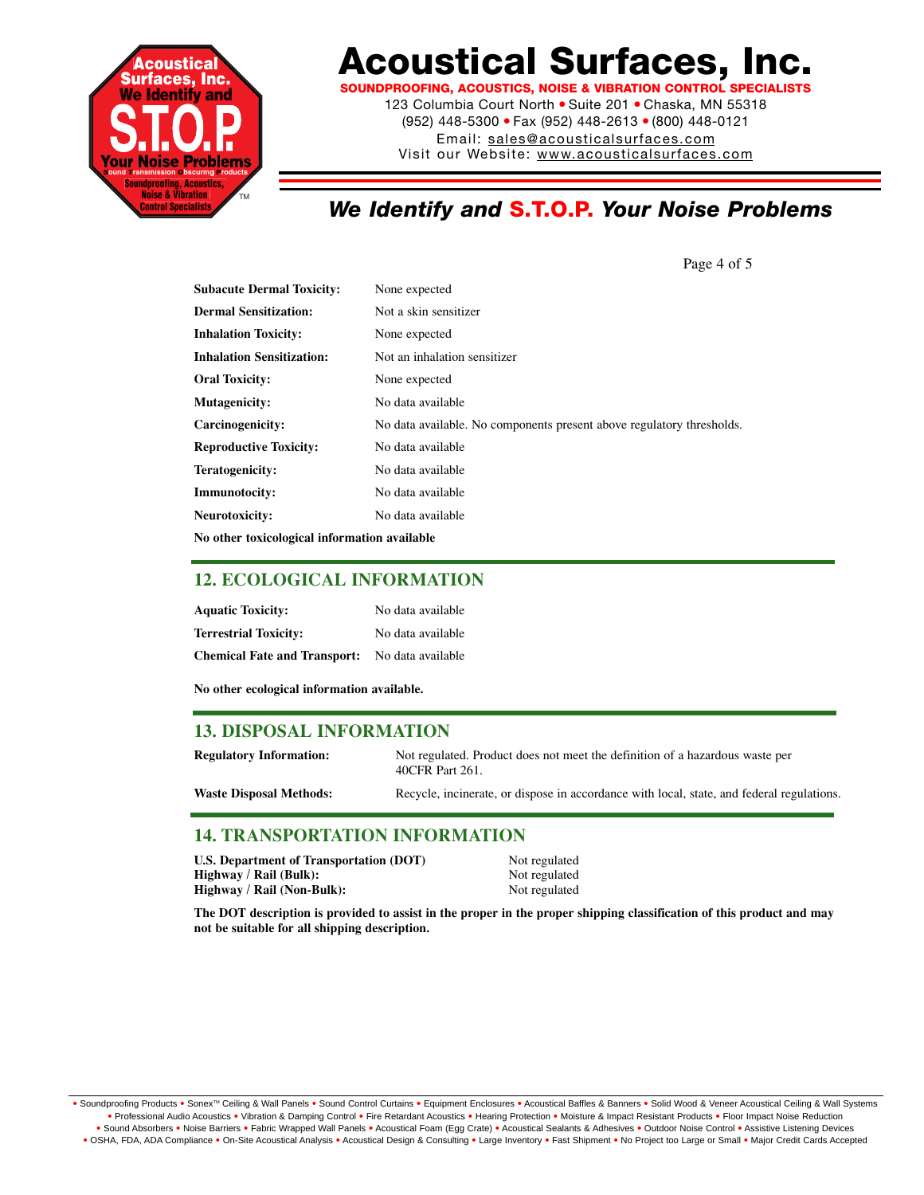

**SOUNDPROOFING, ACOUSTICS, NOISE & VIBRATION CONTROL SPECIALISTS**

123 Columbia Court North · Suite 201 · Chaska, MN 55318 (952) 448-5300 ● Fax (952) 448-2613 ● (800) 448-0121 Email: sales@acousticalsurfaces.com

Visit our Website: www.acousticalsurfaces.com

# *We Identify and* **S.T.O.P.** *Your Noise Problems*

**Subacute Dermal Toxicity:** None expected **Dermal Sensitization:** Not a skin sensitizer **Inhalation Toxicity:** None expected **Inhalation Sensitization:** Not an inhalation sensitizer **Oral Toxicity:** None expected **Mutagenicity:** No data available **Carcinogenicity:** No data available. No components present above regulatory thresholds. **Reproductive Toxicity:** No data available **Teratogenicity:** No data available **Immunotocity:** No data available **Neurotoxicity:** No data available **No other toxicological information available**

## **12. ECOLOGICAL INFORMATION**

| <b>Aquatic Toxicity:</b>            | No data available |
|-------------------------------------|-------------------|
| <b>Terrestrial Toxicity:</b>        | No data available |
| <b>Chemical Fate and Transport:</b> | No data available |

**No other ecological information available.**

## **13. DISPOSAL INFORMATION**

| <b>Regulatory Information:</b> | Not regulated. Product does not meet the definition of a hazardous waste per<br>40CFR Part 261. |
|--------------------------------|-------------------------------------------------------------------------------------------------|
| <b>Waste Disposal Methods:</b> | Recycle, incinerate, or dispose in accordance with local, state, and federal regulations.       |

## **14. TRANSPORTATION INFORMATION**

| U.S. Department of Transportation (DOT) | Not regulated |
|-----------------------------------------|---------------|
| Highway / Rail (Bulk):                  | Not regulated |
| Highway / Rail (Non-Bulk):              | Not regulated |

**The DOT description is provided to assist in the proper in the proper shipping classification of this product and may not be suitable for all shipping description.**

Page 4 of 5